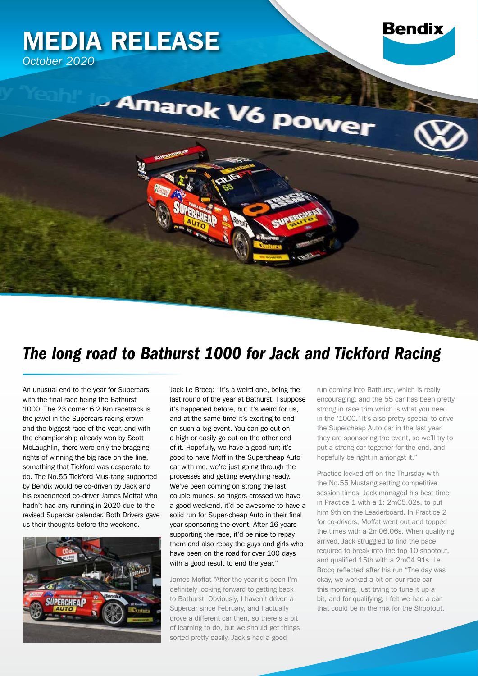

## *The long road to Bathurst 1000 for Jack and Tickford Racing*

An unusual end to the year for Supercars with the final race being the Bathurst 1000. The 23 corner 6.2 Km racetrack is the jewel in the Supercars racing crown and the biggest race of the year, and with the championship already won by Scott McLaughlin, there were only the bragging rights of winning the big race on the line, something that Tickford was desperate to do. The No.55 Tickford Mus-tang supported by Bendix would be co-driven by Jack and his experienced co-driver James Moffat who hadn't had any running in 2020 due to the revised Supercar calendar. Both Drivers gave us their thoughts before the weekend.



Jack Le Brocq: "It's a weird one, being the last round of the year at Bathurst. I suppose it's happened before, but it's weird for us, and at the same time it's exciting to end on such a big event. You can go out on a high or easily go out on the other end of it. Hopefully, we have a good run; it's good to have Moff in the Supercheap Auto car with me, we're just going through the processes and getting everything ready. We've been coming on strong the last couple rounds, so fingers crossed we have a good weekend, it'd be awesome to have a solid run for Super-cheap Auto in their final year sponsoring the event. After 16 years supporting the race, it'd be nice to repay them and also repay the guys and girls who have been on the road for over 100 days with a good result to end the year."

James Moffat "After the year it's been I'm definitely looking forward to getting back to Bathurst. Obviously, I haven't driven a Supercar since February, and I actually drove a different car then, so there's a bit of learning to do, but we should get things sorted pretty easily. Jack's had a good

run coming into Bathurst, which is really encouraging, and the 55 car has been pretty strong in race trim which is what you need in the '1000.' It's also pretty special to drive the Supercheap Auto car in the last year they are sponsoring the event, so we'll try to put a strong car together for the end, and hopefully be right in amongst it."

Practice kicked off on the Thursday with the No.55 Mustang setting competitive session times; Jack managed his best time in Practice 1 with a 1: 2m05.02s, to put him 9th on the Leaderboard. In Practice 2 for co-drivers, Moffat went out and topped the times with a 2m06.06s. When qualifying arrived, Jack struggled to find the pace required to break into the top 10 shootout, and qualified 15th with a 2m04.91s. Le Brocq reflected after his run "The day was okay, we worked a bit on our race car this morning, just trying to tune it up a bit, and for qualifying, I felt we had a car that could be in the mix for the Shootout.